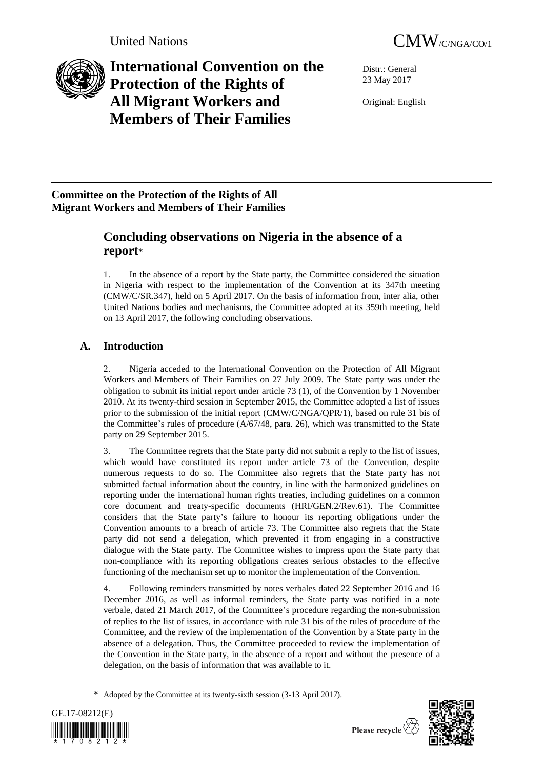



# **International Convention on the Protection of the Rights of All Migrant Workers and Members of Their Families**

Distr.: General 23 May 2017

Original: English

## **Committee on the Protection of the Rights of All Migrant Workers and Members of Their Families**

## **Concluding observations on Nigeria in the absence of a report**\*

1. In the absence of a report by the State party, the Committee considered the situation in Nigeria with respect to the implementation of the Convention at its 347th meeting (CMW/C/SR.347), held on 5 April 2017. On the basis of information from, inter alia, other United Nations bodies and mechanisms, the Committee adopted at its 359th meeting, held on 13 April 2017, the following concluding observations.

## **A. Introduction**

2. Nigeria acceded to the International Convention on the Protection of All Migrant Workers and Members of Their Families on 27 July 2009. The State party was under the obligation to submit its initial report under article 73 (1), of the Convention by 1 November 2010. At its twenty-third session in September 2015, the Committee adopted a list of issues prior to the submission of the initial report (CMW/C/NGA/QPR/1), based on rule 31 bis of the Committee's rules of procedure (A/67/48, para. 26), which was transmitted to the State party on 29 September 2015.

3. The Committee regrets that the State party did not submit a reply to the list of issues, which would have constituted its report under article 73 of the Convention, despite numerous requests to do so. The Committee also regrets that the State party has not submitted factual information about the country, in line with the harmonized guidelines on reporting under the international human rights treaties, including guidelines on a common core document and treaty-specific documents (HRI/GEN.2/Rev.61). The Committee considers that the State party's failure to honour its reporting obligations under the Convention amounts to a breach of article 73. The Committee also regrets that the State party did not send a delegation, which prevented it from engaging in a constructive dialogue with the State party. The Committee wishes to impress upon the State party that non-compliance with its reporting obligations creates serious obstacles to the effective functioning of the mechanism set up to monitor the implementation of the Convention.

4. Following reminders transmitted by notes verbales dated 22 September 2016 and 16 December 2016, as well as informal reminders, the State party was notified in a note verbale, dated 21 March 2017, of the Committee's procedure regarding the non-submission of replies to the list of issues, in accordance with rule 31 bis of the rules of procedure of the Committee, and the review of the implementation of the Convention by a State party in the absence of a delegation. Thus, the Committee proceeded to review the implementation of the Convention in the State party, in the absence of a report and without the presence of a delegation, on the basis of information that was available to it.

<sup>\*</sup> Adopted by the Committee at its twenty-sixth session (3-13 April 2017).



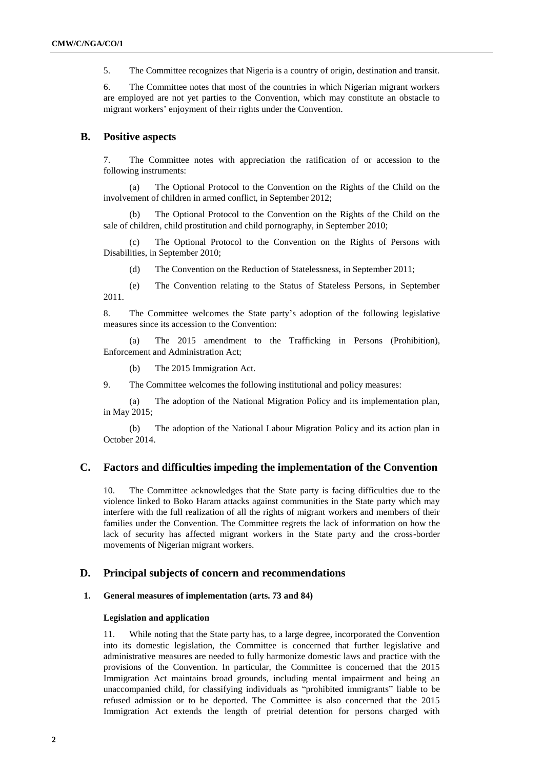5. The Committee recognizes that Nigeria is a country of origin, destination and transit.

6. The Committee notes that most of the countries in which Nigerian migrant workers are employed are not yet parties to the Convention, which may constitute an obstacle to migrant workers' enjoyment of their rights under the Convention.

## **B. Positive aspects**

7. The Committee notes with appreciation the ratification of or accession to the following instruments:

(a) The Optional Protocol to the Convention on the Rights of the Child on the involvement of children in armed conflict, in September 2012;

(b) The Optional Protocol to the Convention on the Rights of the Child on the sale of children, child prostitution and child pornography, in September 2010;

(c) The Optional Protocol to the Convention on the Rights of Persons with Disabilities, in September 2010;

(d) The Convention on the Reduction of Statelessness, in September 2011;

(e) The Convention relating to the Status of Stateless Persons, in September 2011.

8. The Committee welcomes the State party's adoption of the following legislative measures since its accession to the Convention:

(a) The 2015 amendment to the Trafficking in Persons (Prohibition), Enforcement and Administration Act;

(b) The 2015 Immigration Act.

9. The Committee welcomes the following institutional and policy measures:

(a) The adoption of the National Migration Policy and its implementation plan, in May 2015;

(b) The adoption of the National Labour Migration Policy and its action plan in October 2014.

## **C. Factors and difficulties impeding the implementation of the Convention**

10. The Committee acknowledges that the State party is facing difficulties due to the violence linked to Boko Haram attacks against communities in the State party which may interfere with the full realization of all the rights of migrant workers and members of their families under the Convention. The Committee regrets the lack of information on how the lack of security has affected migrant workers in the State party and the cross-border movements of Nigerian migrant workers.

## **D. Principal subjects of concern and recommendations**

## **1. General measures of implementation (arts. 73 and 84)**

## **Legislation and application**

11. While noting that the State party has, to a large degree, incorporated the Convention into its domestic legislation, the Committee is concerned that further legislative and administrative measures are needed to fully harmonize domestic laws and practice with the provisions of the Convention. In particular, the Committee is concerned that the 2015 Immigration Act maintains broad grounds, including mental impairment and being an unaccompanied child, for classifying individuals as "prohibited immigrants" liable to be refused admission or to be deported. The Committee is also concerned that the 2015 Immigration Act extends the length of pretrial detention for persons charged with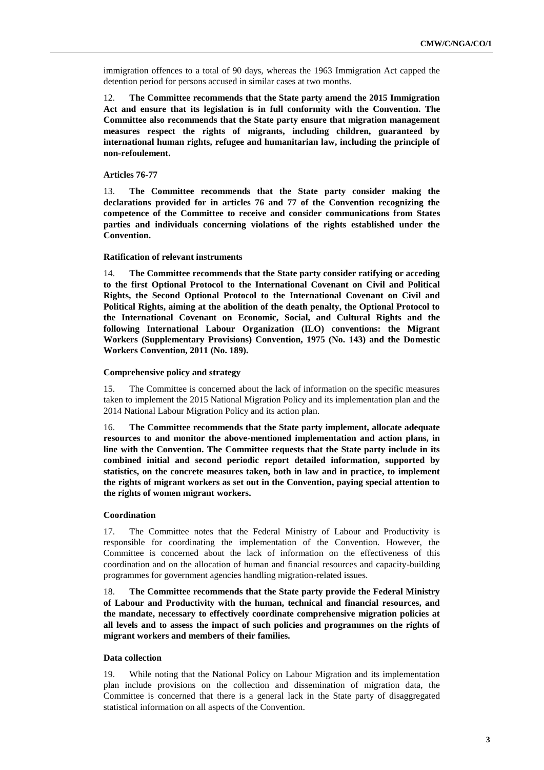immigration offences to a total of 90 days, whereas the 1963 Immigration Act capped the detention period for persons accused in similar cases at two months.

12. **The Committee recommends that the State party amend the 2015 Immigration Act and ensure that its legislation is in full conformity with the Convention. The Committee also recommends that the State party ensure that migration management measures respect the rights of migrants, including children, guaranteed by international human rights, refugee and humanitarian law, including the principle of non-refoulement.**

## **Articles 76-77**

13. **The Committee recommends that the State party consider making the declarations provided for in articles 76 and 77 of the Convention recognizing the competence of the Committee to receive and consider communications from States parties and individuals concerning violations of the rights established under the Convention.**

## **Ratification of relevant instruments**

14. **The Committee recommends that the State party consider ratifying or acceding to the first Optional Protocol to the International Covenant on Civil and Political Rights, the Second Optional Protocol to the International Covenant on Civil and Political Rights, aiming at the abolition of the death penalty, the Optional Protocol to the International Covenant on Economic, Social, and Cultural Rights and the following International Labour Organization (ILO) conventions: the Migrant Workers (Supplementary Provisions) Convention, 1975 (No. 143) and the Domestic Workers Convention, 2011 (No. 189).**

## **Comprehensive policy and strategy**

15. The Committee is concerned about the lack of information on the specific measures taken to implement the 2015 National Migration Policy and its implementation plan and the 2014 National Labour Migration Policy and its action plan.

16. **The Committee recommends that the State party implement, allocate adequate resources to and monitor the above-mentioned implementation and action plans, in line with the Convention. The Committee requests that the State party include in its combined initial and second periodic report detailed information, supported by statistics, on the concrete measures taken, both in law and in practice, to implement the rights of migrant workers as set out in the Convention, paying special attention to the rights of women migrant workers.** 

## **Coordination**

17. The Committee notes that the Federal Ministry of Labour and Productivity is responsible for coordinating the implementation of the Convention. However, the Committee is concerned about the lack of information on the effectiveness of this coordination and on the allocation of human and financial resources and capacity-building programmes for government agencies handling migration-related issues.

18. **The Committee recommends that the State party provide the Federal Ministry of Labour and Productivity with the human, technical and financial resources, and the mandate, necessary to effectively coordinate comprehensive migration policies at all levels and to assess the impact of such policies and programmes on the rights of migrant workers and members of their families.**

## **Data collection**

19. While noting that the National Policy on Labour Migration and its implementation plan include provisions on the collection and dissemination of migration data, the Committee is concerned that there is a general lack in the State party of disaggregated statistical information on all aspects of the Convention.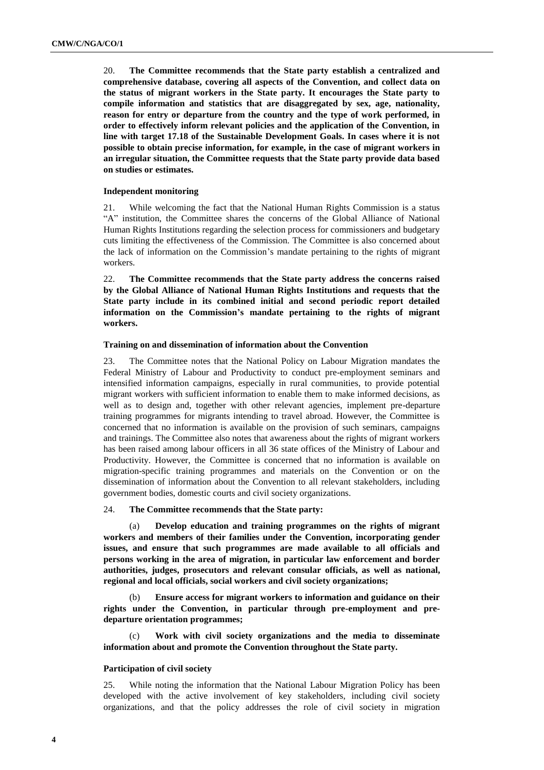20. **The Committee recommends that the State party establish a centralized and comprehensive database, covering all aspects of the Convention, and collect data on the status of migrant workers in the State party. It encourages the State party to compile information and statistics that are disaggregated by sex, age, nationality, reason for entry or departure from the country and the type of work performed, in order to effectively inform relevant policies and the application of the Convention, in line with target 17.18 of the Sustainable Development Goals. In cases where it is not possible to obtain precise information, for example, in the case of migrant workers in an irregular situation, the Committee requests that the State party provide data based on studies or estimates.**

#### **Independent monitoring**

21. While welcoming the fact that the National Human Rights Commission is a status "A" institution, the Committee shares the concerns of the Global Alliance of National Human Rights Institutions regarding the selection process for commissioners and budgetary cuts limiting the effectiveness of the Commission. The Committee is also concerned about the lack of information on the Commission's mandate pertaining to the rights of migrant workers.

22. **The Committee recommends that the State party address the concerns raised by the Global Alliance of National Human Rights Institutions and requests that the State party include in its combined initial and second periodic report detailed information on the Commission's mandate pertaining to the rights of migrant workers.** 

## **Training on and dissemination of information about the Convention**

23. The Committee notes that the National Policy on Labour Migration mandates the Federal Ministry of Labour and Productivity to conduct pre-employment seminars and intensified information campaigns, especially in rural communities, to provide potential migrant workers with sufficient information to enable them to make informed decisions, as well as to design and, together with other relevant agencies, implement pre-departure training programmes for migrants intending to travel abroad. However, the Committee is concerned that no information is available on the provision of such seminars, campaigns and trainings. The Committee also notes that awareness about the rights of migrant workers has been raised among labour officers in all 36 state offices of the Ministry of Labour and Productivity. However, the Committee is concerned that no information is available on migration-specific training programmes and materials on the Convention or on the dissemination of information about the Convention to all relevant stakeholders, including government bodies, domestic courts and civil society organizations.

## 24. **The Committee recommends that the State party:**

(a) **Develop education and training programmes on the rights of migrant workers and members of their families under the Convention, incorporating gender issues, and ensure that such programmes are made available to all officials and persons working in the area of migration, in particular law enforcement and border authorities, judges, prosecutors and relevant consular officials, as well as national, regional and local officials, social workers and civil society organizations;**

(b) **Ensure access for migrant workers to information and guidance on their rights under the Convention, in particular through pre-employment and predeparture orientation programmes;**

(c) **Work with civil society organizations and the media to disseminate information about and promote the Convention throughout the State party.** 

#### **Participation of civil society**

25. While noting the information that the National Labour Migration Policy has been developed with the active involvement of key stakeholders, including civil society organizations, and that the policy addresses the role of civil society in migration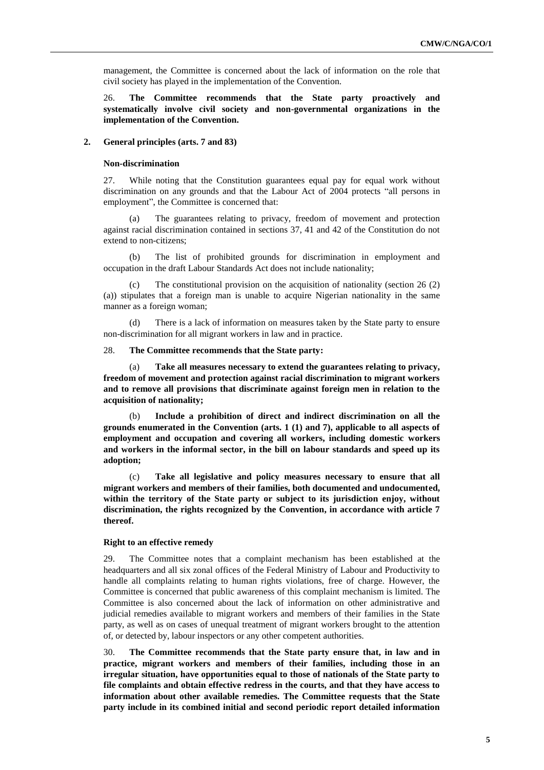management, the Committee is concerned about the lack of information on the role that civil society has played in the implementation of the Convention.

26. **The Committee recommends that the State party proactively and systematically involve civil society and non-governmental organizations in the implementation of the Convention.**

#### **2. General principles (arts. 7 and 83)**

#### **Non-discrimination**

27. While noting that the Constitution guarantees equal pay for equal work without discrimination on any grounds and that the Labour Act of 2004 protects "all persons in employment", the Committee is concerned that:

(a) The guarantees relating to privacy, freedom of movement and protection against racial discrimination contained in sections 37, 41 and 42 of the Constitution do not extend to non-citizens;

(b) The list of prohibited grounds for discrimination in employment and occupation in the draft Labour Standards Act does not include nationality;

The constitutional provision on the acquisition of nationality (section  $26(2)$ ) (a)) stipulates that a foreign man is unable to acquire Nigerian nationality in the same manner as a foreign woman;

(d) There is a lack of information on measures taken by the State party to ensure non-discrimination for all migrant workers in law and in practice.

#### 28. **The Committee recommends that the State party:**

Take all measures necessary to extend the guarantees relating to privacy, **freedom of movement and protection against racial discrimination to migrant workers and to remove all provisions that discriminate against foreign men in relation to the acquisition of nationality;**

(b) **Include a prohibition of direct and indirect discrimination on all the grounds enumerated in the Convention (arts. 1 (1) and 7), applicable to all aspects of employment and occupation and covering all workers, including domestic workers and workers in the informal sector, in the bill on labour standards and speed up its adoption;**

(c) **Take all legislative and policy measures necessary to ensure that all migrant workers and members of their families, both documented and undocumented, within the territory of the State party or subject to its jurisdiction enjoy, without discrimination, the rights recognized by the Convention, in accordance with article 7 thereof.**

#### **Right to an effective remedy**

29. The Committee notes that a complaint mechanism has been established at the headquarters and all six zonal offices of the Federal Ministry of Labour and Productivity to handle all complaints relating to human rights violations, free of charge. However, the Committee is concerned that public awareness of this complaint mechanism is limited. The Committee is also concerned about the lack of information on other administrative and judicial remedies available to migrant workers and members of their families in the State party, as well as on cases of unequal treatment of migrant workers brought to the attention of, or detected by, labour inspectors or any other competent authorities.

30. **The Committee recommends that the State party ensure that, in law and in practice, migrant workers and members of their families, including those in an irregular situation, have opportunities equal to those of nationals of the State party to file complaints and obtain effective redress in the courts, and that they have access to information about other available remedies. The Committee requests that the State party include in its combined initial and second periodic report detailed information**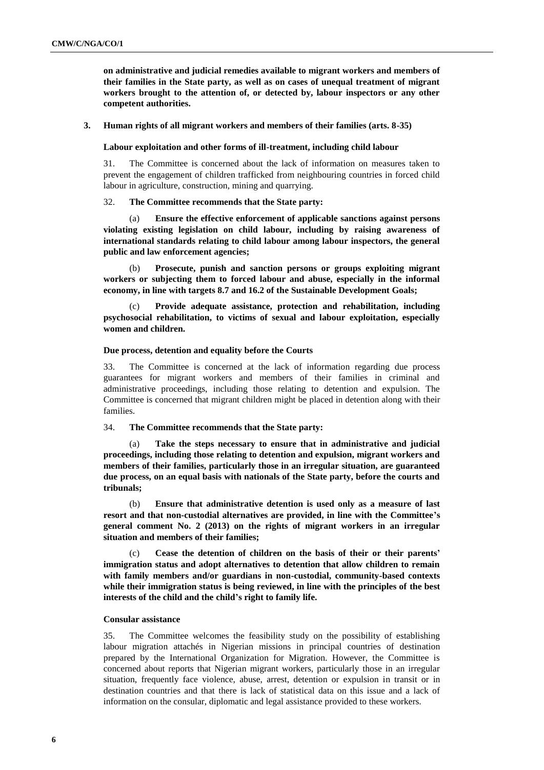**on administrative and judicial remedies available to migrant workers and members of their families in the State party, as well as on cases of unequal treatment of migrant workers brought to the attention of, or detected by, labour inspectors or any other competent authorities.**

**3. Human rights of all migrant workers and members of their families (arts. 8-35)** 

**Labour exploitation and other forms of ill-treatment, including child labour**

31. The Committee is concerned about the lack of information on measures taken to prevent the engagement of children trafficked from neighbouring countries in forced child labour in agriculture, construction, mining and quarrying.

32. **The Committee recommends that the State party:**

(a) **Ensure the effective enforcement of applicable sanctions against persons violating existing legislation on child labour, including by raising awareness of international standards relating to child labour among labour inspectors, the general public and law enforcement agencies;**

(b) **Prosecute, punish and sanction persons or groups exploiting migrant workers or subjecting them to forced labour and abuse, especially in the informal economy, in line with targets 8.7 and 16.2 of the Sustainable Development Goals;**

Provide adequate assistance, protection and rehabilitation, including **psychosocial rehabilitation, to victims of sexual and labour exploitation, especially women and children.** 

#### **Due process, detention and equality before the Courts**

33. The Committee is concerned at the lack of information regarding due process guarantees for migrant workers and members of their families in criminal and administrative proceedings, including those relating to detention and expulsion. The Committee is concerned that migrant children might be placed in detention along with their families.

## 34. **The Committee recommends that the State party:**

Take the steps necessary to ensure that in administrative and judicial **proceedings, including those relating to detention and expulsion, migrant workers and members of their families, particularly those in an irregular situation, are guaranteed due process, on an equal basis with nationals of the State party, before the courts and tribunals;**

(b) **Ensure that administrative detention is used only as a measure of last resort and that non-custodial alternatives are provided, in line with the Committee's general comment No. 2 (2013) on the rights of migrant workers in an irregular situation and members of their families;**

(c) **Cease the detention of children on the basis of their or their parents' immigration status and adopt alternatives to detention that allow children to remain with family members and/or guardians in non-custodial, community-based contexts while their immigration status is being reviewed, in line with the principles of the best interests of the child and the child's right to family life.** 

## **Consular assistance**

35. The Committee welcomes the feasibility study on the possibility of establishing labour migration attachés in Nigerian missions in principal countries of destination prepared by the International Organization for Migration. However, the Committee is concerned about reports that Nigerian migrant workers, particularly those in an irregular situation, frequently face violence, abuse, arrest, detention or expulsion in transit or in destination countries and that there is lack of statistical data on this issue and a lack of information on the consular, diplomatic and legal assistance provided to these workers.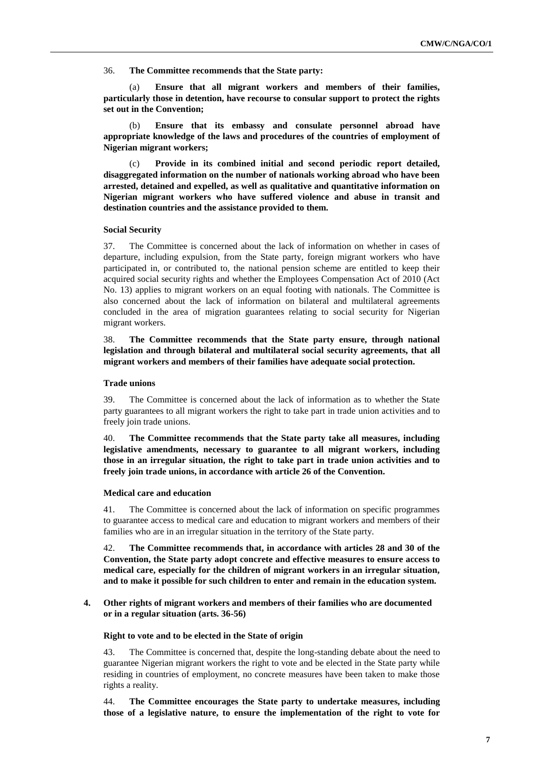36. **The Committee recommends that the State party:**

(a) **Ensure that all migrant workers and members of their families, particularly those in detention, have recourse to consular support to protect the rights set out in the Convention;** 

(b) **Ensure that its embassy and consulate personnel abroad have appropriate knowledge of the laws and procedures of the countries of employment of Nigerian migrant workers;** 

Provide in its combined initial and second periodic report detailed, **disaggregated information on the number of nationals working abroad who have been arrested, detained and expelled, as well as qualitative and quantitative information on Nigerian migrant workers who have suffered violence and abuse in transit and destination countries and the assistance provided to them.**

## **Social Security**

37. The Committee is concerned about the lack of information on whether in cases of departure, including expulsion, from the State party, foreign migrant workers who have participated in, or contributed to, the national pension scheme are entitled to keep their acquired social security rights and whether the Employees Compensation Act of 2010 (Act No. 13) applies to migrant workers on an equal footing with nationals. The Committee is also concerned about the lack of information on bilateral and multilateral agreements concluded in the area of migration guarantees relating to social security for Nigerian migrant workers.

38. **The Committee recommends that the State party ensure, through national legislation and through bilateral and multilateral social security agreements, that all migrant workers and members of their families have adequate social protection.**

## **Trade unions**

39. The Committee is concerned about the lack of information as to whether the State party guarantees to all migrant workers the right to take part in trade union activities and to freely join trade unions.

40. **The Committee recommends that the State party take all measures, including legislative amendments, necessary to guarantee to all migrant workers, including those in an irregular situation, the right to take part in trade union activities and to freely join trade unions, in accordance with article 26 of the Convention.**

## **Medical care and education**

41. The Committee is concerned about the lack of information on specific programmes to guarantee access to medical care and education to migrant workers and members of their families who are in an irregular situation in the territory of the State party.

42. **The Committee recommends that, in accordance with articles 28 and 30 of the Convention, the State party adopt concrete and effective measures to ensure access to medical care, especially for the children of migrant workers in an irregular situation, and to make it possible for such children to enter and remain in the education system.**

## **4. Other rights of migrant workers and members of their families who are documented or in a regular situation (arts. 36-56)**

## **Right to vote and to be elected in the State of origin**

43. The Committee is concerned that, despite the long-standing debate about the need to guarantee Nigerian migrant workers the right to vote and be elected in the State party while residing in countries of employment, no concrete measures have been taken to make those rights a reality.

44. **The Committee encourages the State party to undertake measures, including those of a legislative nature, to ensure the implementation of the right to vote for**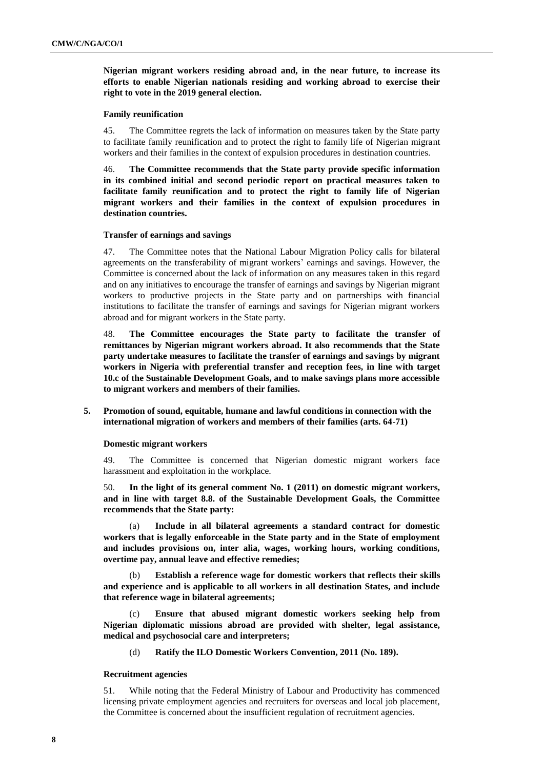**Nigerian migrant workers residing abroad and, in the near future, to increase its efforts to enable Nigerian nationals residing and working abroad to exercise their right to vote in the 2019 general election.**

## **Family reunification**

45. The Committee regrets the lack of information on measures taken by the State party to facilitate family reunification and to protect the right to family life of Nigerian migrant workers and their families in the context of expulsion procedures in destination countries.

46. **The Committee recommends that the State party provide specific information in its combined initial and second periodic report on practical measures taken to facilitate family reunification and to protect the right to family life of Nigerian migrant workers and their families in the context of expulsion procedures in destination countries.**

#### **Transfer of earnings and savings**

47. The Committee notes that the National Labour Migration Policy calls for bilateral agreements on the transferability of migrant workers' earnings and savings. However, the Committee is concerned about the lack of information on any measures taken in this regard and on any initiatives to encourage the transfer of earnings and savings by Nigerian migrant workers to productive projects in the State party and on partnerships with financial institutions to facilitate the transfer of earnings and savings for Nigerian migrant workers abroad and for migrant workers in the State party.

48. **The Committee encourages the State party to facilitate the transfer of remittances by Nigerian migrant workers abroad. It also recommends that the State party undertake measures to facilitate the transfer of earnings and savings by migrant workers in Nigeria with preferential transfer and reception fees, in line with target 10.c of the Sustainable Development Goals, and to make savings plans more accessible to migrant workers and members of their families.**

**5. Promotion of sound, equitable, humane and lawful conditions in connection with the international migration of workers and members of their families (arts. 64-71)**

#### **Domestic migrant workers**

49. The Committee is concerned that Nigerian domestic migrant workers face harassment and exploitation in the workplace.

50. **In the light of its general comment No. 1 (2011) on domestic migrant workers, and in line with target 8.8. of the Sustainable Development Goals, the Committee recommends that the State party:**

(a) **Include in all bilateral agreements a standard contract for domestic workers that is legally enforceable in the State party and in the State of employment and includes provisions on, inter alia, wages, working hours, working conditions, overtime pay, annual leave and effective remedies;**

(b) **Establish a reference wage for domestic workers that reflects their skills and experience and is applicable to all workers in all destination States, and include that reference wage in bilateral agreements;**

(c) **Ensure that abused migrant domestic workers seeking help from Nigerian diplomatic missions abroad are provided with shelter, legal assistance, medical and psychosocial care and interpreters;**

(d) **Ratify the ILO Domestic Workers Convention, 2011 (No. 189).**

#### **Recruitment agencies**

51. While noting that the Federal Ministry of Labour and Productivity has commenced licensing private employment agencies and recruiters for overseas and local job placement, the Committee is concerned about the insufficient regulation of recruitment agencies.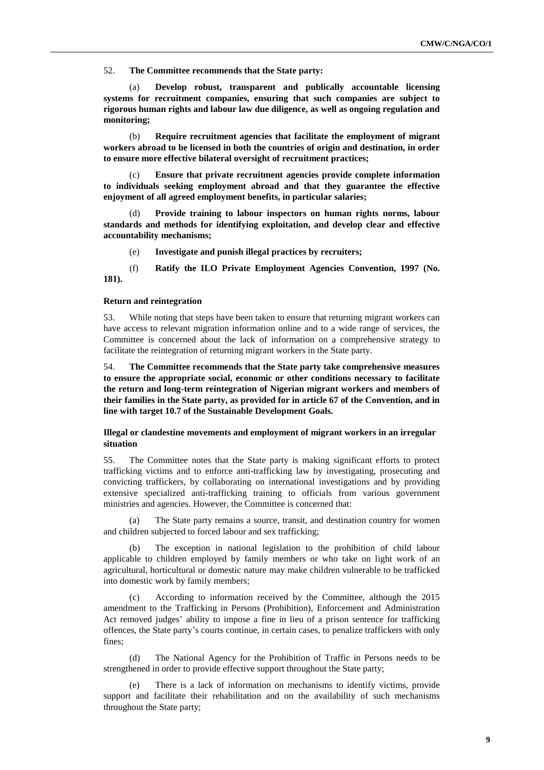52. **The Committee recommends that the State party:** 

(a) **Develop robust, transparent and publically accountable licensing systems for recruitment companies, ensuring that such companies are subject to rigorous human rights and labour law due diligence, as well as ongoing regulation and monitoring;**

(b) **Require recruitment agencies that facilitate the employment of migrant workers abroad to be licensed in both the countries of origin and destination, in order to ensure more effective bilateral oversight of recruitment practices;**

(c) **Ensure that private recruitment agencies provide complete information to individuals seeking employment abroad and that they guarantee the effective enjoyment of all agreed employment benefits, in particular salaries;**

Provide training to labour inspectors on human rights norms, labour **standards and methods for identifying exploitation, and develop clear and effective accountability mechanisms;** 

(e) **Investigate and punish illegal practices by recruiters;**

(f) **Ratify the ILO Private Employment Agencies Convention, 1997 (No. 181).**

#### **Return and reintegration**

53. While noting that steps have been taken to ensure that returning migrant workers can have access to relevant migration information online and to a wide range of services, the Committee is concerned about the lack of information on a comprehensive strategy to facilitate the reintegration of returning migrant workers in the State party.

54. **The Committee recommends that the State party take comprehensive measures to ensure the appropriate social, economic or other conditions necessary to facilitate the return and long-term reintegration of Nigerian migrant workers and members of their families in the State party, as provided for in article 67 of the Convention, and in line with target 10.7 of the Sustainable Development Goals.**

## **Illegal or clandestine movements and employment of migrant workers in an irregular situation**

55. The Committee notes that the State party is making significant efforts to protect trafficking victims and to enforce anti-trafficking law by investigating, prosecuting and convicting traffickers, by collaborating on international investigations and by providing extensive specialized anti-trafficking training to officials from various government ministries and agencies. However, the Committee is concerned that:

(a) The State party remains a source, transit, and destination country for women and children subjected to forced labour and sex trafficking;

(b) The exception in national legislation to the prohibition of child labour applicable to children employed by family members or who take on light work of an agricultural, horticultural or domestic nature may make children vulnerable to be trafficked into domestic work by family members;

(c) According to information received by the Committee, although the 2015 amendment to the Trafficking in Persons (Prohibition), Enforcement and Administration Act removed judges' ability to impose a fine in lieu of a prison sentence for trafficking offences, the State party's courts continue, in certain cases, to penalize traffickers with only fines;

(d) The National Agency for the Prohibition of Traffic in Persons needs to be strengthened in order to provide effective support throughout the State party;

There is a lack of information on mechanisms to identify victims, provide support and facilitate their rehabilitation and on the availability of such mechanisms throughout the State party;